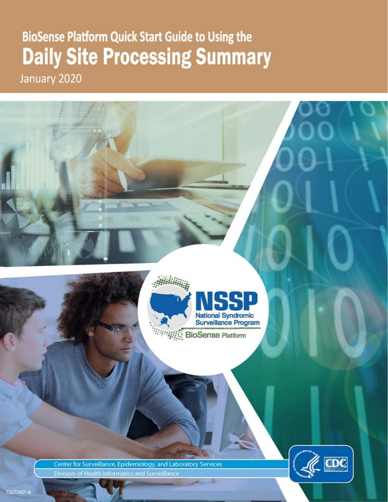# **BioSense Platform Quick Start Guide to Using the Daily Site Processing Summary** January 2020



Center for Surveillance, Epidemiology, and Laboratory Services Division of Health Informatics and Surveillance



*<u> HANDALIN HELDER</u>*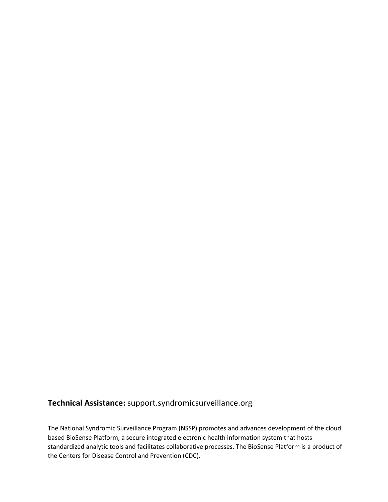## **Technical Assistance:** [support.syndromicsurveillance.org](https://support.syndromicsurveillance.org/)

The National Syndromic Surveillance Program (NSSP) promotes and advances development of the cloud based BioSense Platform, a secure integrated electronic health information system that hosts standardized analytic tools and facilitates collaborative processes. The BioSense Platform is a product of the Centers for Disease Control and Prevention (CDC).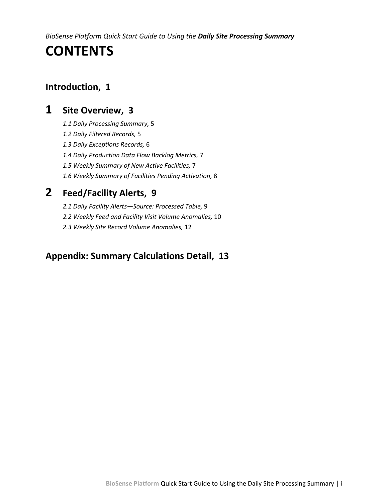*BioSense Platform Quick Start Guide to Using the Daily Site Processing Summary*

# **CONTENTS**

## **[Introduction, 1](#page-3-0)**

# **1 [Site Overview, 3](#page-4-0)**

- *[1.1 Daily Processing Summary,](#page-7-0)* 5
- *[1.2 Daily Filtered Records,](#page-7-1)* 5
- *[1.3 Daily Exceptions Records,](#page-8-0)* 6
- *[1.4 Daily Production Data Flow Backlog Metrics,](#page-9-0)* 7
- *[1.5 Weekly Summary of New Active Facilities,](#page-9-1)* 7
- *[1.6 Weekly Summary of Facilities Pending Activation,](#page-10-0)* 8

# **2 [Feed/Facility Alerts, 9](#page-11-0)**

- *2.1 Daily Facility Alerts—[Source: Processed Table,](#page-11-1)* 9
- *[2.2 Weekly Feed and Facility Visit Volume Anomalies,](#page-12-0)* 10
- *[2.3 Weekly Site Record Volume Anomalies,](#page-14-0)* 12

## **[Appendix: Summary Calculations Detail, 13](#page-15-0)**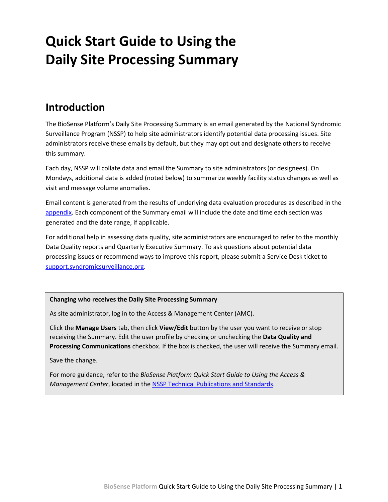# **Quick Start Guide to Using the Daily Site Processing Summary**

# <span id="page-3-0"></span>**Introduction**

The BioSense Platform's Daily Site Processing Summary is an email generated by the National Syndromic Surveillance Program (NSSP) to help site administrators identify potential data processing issues. Site administrators receive these emails by default, but they may opt out and designate others to receive this summary.

Each day, NSSP will collate data and email the Summary to site administrators (or designees). On Mondays, additional data is added (noted below) to summarize weekly facility status changes as well as visit and message volume anomalies.

Email content is generated from the results of underlying data evaluation procedures as described in the [appendix.](#page-15-0) Each component of the Summary email will include the date and time each section was generated and the date range, if applicable.

For additional help in assessing data quality, site administrators are encouraged to refer to the monthly Data Quality reports and Quarterly Executive Summary. To ask questions about potential data processing issues or recommend ways to improve this report, please submit a Service Desk ticket to [support.syndromicsurveillance.org.](https://support.syndromicsurveillance.org/)

#### **Changing who receives the Daily Site Processing Summary**

As site administrator, log in to the Access & Management Center (AMC).

Click the **Manage Users** tab, then click **View/Edit** button by the user you want to receive or stop receiving the Summary. Edit the user profile by checking or unchecking the **Data Quality and Processing Communications** checkbox. If the box is checked, the user will receive the Summary email.

Save the change.

For more guidance, refer to the *BioSense Platform Quick Start Guide to Using the Access & Management Center*, located in the [NSSP Technical Publications and Standards.](https://www.cdc.gov/nssp/technical-pubs-and-standards.html#QuickStart)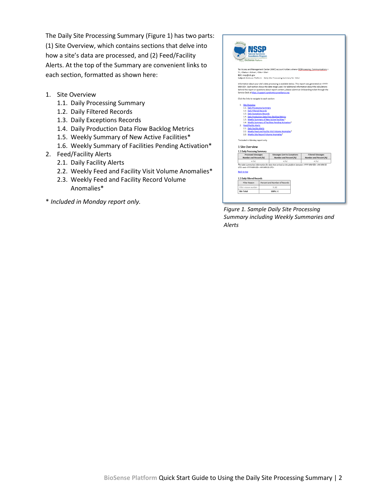The Daily Site Processing Summary (Figure 1) has two parts: (1) Site Overview, which contains sections that delve into how a site's data are processed, and (2) Feed/Facility Alerts. At the top of the Summary are convenient links to each section, formatted as shown here:

- 1. Site Overview
	- 1.1. Daily Processing Summary
	- 1.2. Daily Filtered Records
	- 1.3. Daily Exceptions Records
	- 1.4. Daily Production Data Flow Backlog Metrics
	- 1.5. Weekly Summary of New Active Facilities\*
	- 1.6. Weekly Summary of Facilities Pending Activation\*
- 2. Feed/Facility Alerts
	- 2.1. Daily Facility Alerts
	- 2.2. Weekly Feed and Facility Visit Volume Anomalies\*
	- 2.3. Weekly Feed and Facility Record Volume Anomalies\*
- <span id="page-4-0"></span>\* *Included in Monday report only.*

| <b>National Syndromic</b>                                        |                      |                                                                                                                                                                   |                                                    |
|------------------------------------------------------------------|----------------------|-------------------------------------------------------------------------------------------------------------------------------------------------------------------|----------------------------------------------------|
|                                                                  | Surveillance Program |                                                                                                                                                                   |                                                    |
| <b>BioSense Platform</b>                                         |                      |                                                                                                                                                                   |                                                    |
|                                                                  |                      | To: Access and Management Center (AMC) account holders where <dqprocessing_communications =<="" td=""><th></th></dqprocessing_communications>                     |                                                    |
| Y>, <status =="" active="">, <site =="" site=""></site></status> |                      |                                                                                                                                                                   |                                                    |
| BCC: nssp@cdc.gov                                                |                      | Subject: BioSense Platform - Daily Site Processing Summary for <site></site>                                                                                      |                                                    |
|                                                                  |                      | Information about your site's data processing is available below. This report was generated on <yyyy-< td=""><th></th></yyyy-<>                                   |                                                    |
|                                                                  |                      | MM-DD>. Each section shows the date range used. For additional information about the calculations                                                                 |                                                    |
|                                                                  |                      | behind the report or questions about report content, please submit an Onboarding ticket through the<br>Service Desk at https://support.syndromicsurveillance.org. |                                                    |
| Click the links to navigate to each section:                     |                      |                                                                                                                                                                   |                                                    |
| 1. Site Overview                                                 |                      |                                                                                                                                                                   |                                                    |
| 1.1. Daily Processing Summary                                    |                      |                                                                                                                                                                   |                                                    |
| 1.2. Daily Filtered Records                                      |                      |                                                                                                                                                                   |                                                    |
| 1.3. Daily Exceptions Records                                    |                      | 1.4. Daily Production Data Flow Backlog Metrics                                                                                                                   |                                                    |
|                                                                  |                      | 1.5. Weekly Summary of New Active Facilities. <sup>*</sup>                                                                                                        |                                                    |
|                                                                  |                      | 1.6. Weekly Summary of Facilities Pending Activation*                                                                                                             |                                                    |
| 2. Feed/Facility Alerts                                          |                      |                                                                                                                                                                   |                                                    |
| 2.1. Daily Facility Alerts                                       |                      |                                                                                                                                                                   |                                                    |
|                                                                  |                      | 2.2. Weekly Feed and Facility Visit Volume Anomalies*<br>2.3. Weekly Site Record Volume Anomalies*                                                                |                                                    |
|                                                                  |                      |                                                                                                                                                                   |                                                    |
| *Included in Monday report only.                                 |                      |                                                                                                                                                                   |                                                    |
|                                                                  |                      |                                                                                                                                                                   |                                                    |
| 1 Site Overview                                                  |                      |                                                                                                                                                                   |                                                    |
| 1.1 Daily Processing Summary                                     |                      |                                                                                                                                                                   |                                                    |
| Processed Messages<br>Number and Percent (%)                     |                      | Messages Sent to Exceptions<br>Number and Percent (%)                                                                                                             | <b>Filtered Messages</b><br>Number and Percent (%) |
| # (%)                                                            |                      | # (%)                                                                                                                                                             | # (% )                                             |
| UTC> and <yyyy-mm-dd> <hh:mm:ss utc="">.</hh:mm:ss></yyyy-mm-dd> |                      | The table summarizes information for data that arrived on the platform between <yyyy-mm-dd> <hh:mm:ss< td=""><th></th></hh:mm:ss<></yyyy-mm-dd>                   |                                                    |
| <b>Back to top</b>                                               |                      |                                                                                                                                                                   |                                                    |
|                                                                  |                      |                                                                                                                                                                   |                                                    |
| 1.2 Daily Filtered Records                                       |                      |                                                                                                                                                                   |                                                    |
| Filter Reason                                                    |                      | Percent and Number of Records                                                                                                                                     |                                                    |
| Filter reason number<br><b>Site Total</b>                        |                      | % (#)<br>$100\%$ (#)                                                                                                                                              |                                                    |

*Figure 1. Sample Daily Site Processing Summary including Weekly Summaries and Alerts*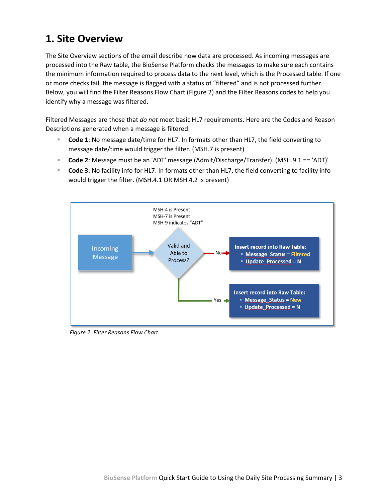# **1. Site Overview**

The Site Overview sections of the email describe how data are processed. As incoming messages are processed into the Raw table, the BioSense Platform checks the messages to make sure each contains the minimum information required to process data to the next level, which is the Processed table. If one or more checks fail, the message is flagged with a status of "filtered" and is not processed further. Below, you will find the Filter Reasons Flow Chart (Figure 2) and the Filter Reasons codes to help you identify why a message was filtered.

Filtered Messages are those that *do not* meet basic HL7 requirements. Here are the Codes and Reason Descriptions generated when a message is filtered:

- Code 1: No message date/time for HL7. In formats other than HL7, the field converting to message date/time would trigger the filter. (MSH.7 is present)
- **Code 2**: Message must be an 'ADT' message (Admit/Discharge/Transfer). (MSH.9.1 == 'ADT)'
- Code 3: No facility info for HL7. In formats other than HL7, the field converting to facility info would trigger the filter. (MSH.4.1 OR MSH.4.2 is present)



*Figure 2. Filter Reasons Flow Chart*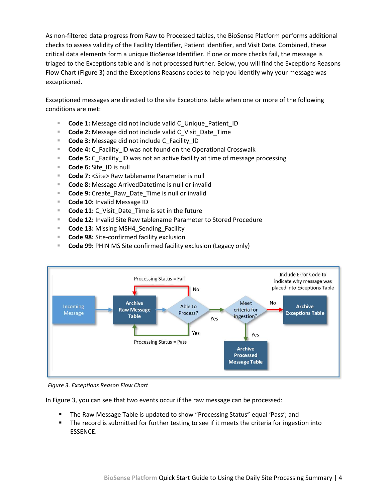As non-filtered data progress from Raw to Processed tables, the BioSense Platform performs additional checks to assess validity of the Facility Identifier, Patient Identifier, and Visit Date. Combined, these critical data elements form a unique BioSense Identifier. If one or more checks fail, the message is triaged to the Exceptions table and is not processed further. Below, you will find the Exceptions Reasons Flow Chart (Figure 3) and the Exceptions Reasons codes to help you identify why your message was exceptioned.

Exceptioned messages are directed to the site Exceptions table when one or more of the following conditions are met:

- **Code 1:** Message did not include valid C Unique Patient ID
- **Code 2:** Message did not include valid C\_Visit\_Date\_Time
- **Code 3:** Message did not include C\_Facility\_ID
- **Code 4:** C\_Facility\_ID was not found on the Operational Crosswalk
- **Code 5:** C\_Facility ID was not an active facility at time of message processing
- **Code 6:** Site ID is null
- **Code 7:** <Site> Raw tablename Parameter is null
- **Code 8:** Message ArrivedDatetime is null or invalid
- **Code 9:** Create Raw Date Time is null or invalid
- **Code 10:** Invalid Message ID
- **Code 11:** C Visit Date Time is set in the future
- **Code 12:** Invalid Site Raw tablename Parameter to Stored Procedure
- **Code 13: Missing MSH4\_Sending\_Facility**
- **Code 98:** Site-confirmed facility exclusion
- **Code 99:** PHIN MS Site confirmed facility exclusion (Legacy only)



*Figure 3. Exceptions Reason Flow Chart*

In Figure 3, you can see that two events occur if the raw message can be processed:

- The Raw Message Table is updated to show "Processing Status" equal 'Pass'; and
- The record is submitted for further testing to see if it meets the criteria for ingestion into ESSENCE.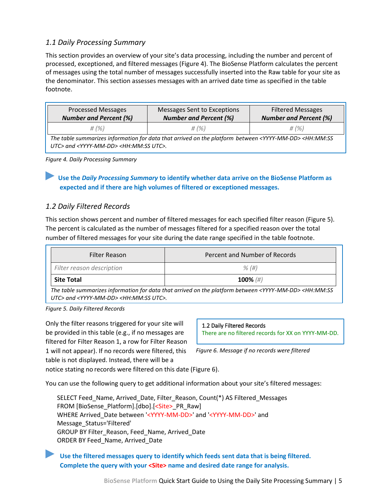### <span id="page-7-0"></span>*1.1 Daily Processing Summary*

This section provides an overview of your site's data processing, including the number and percent of processed, exceptioned, and filtered messages (Figure 4). The BioSense Platform calculates the percent of messages using the total number of messages successfully inserted into the Raw table for your site as the denominator. This section assesses messages with an arrived date time as specified in the table footnote.

| <b>Processed Messages</b>     | Messages Sent to Exceptions   | <b>Filtered Messages</b>      |
|-------------------------------|-------------------------------|-------------------------------|
| <b>Number and Percent (%)</b> | <b>Number and Percent (%)</b> | <b>Number and Percent (%)</b> |
| $\#$ (%)                      | $\#$ (%)                      | $\#$ (%)                      |

*The table summarizes information for data that arrived on the platform between <YYYY-MM-DD> <HH:MM:SS UTC> and <YYYY-MM-DD> <HH:MM:SS UTC>.*

*Figure 4. Daily Processing Summary*

Use the *Daily Processing Summary* to identify whether data arrive on the BioSense Platform as **expected and if there are high volumes of filtered or exceptioned messages.**

#### <span id="page-7-1"></span>*1.2 Daily Filtered Records*

This section shows percent and number of filtered messages for each specified filter reason (Figure 5). The percent is calculated as the number of messages filtered for a specified reason over the total number of filtered messages for your site during the date range specified in the table footnote.

| Filter Reason                                                                                                                          | Percent and Number of Records |  |
|----------------------------------------------------------------------------------------------------------------------------------------|-------------------------------|--|
| Filter reason description                                                                                                              | $\%$ (#)                      |  |
| <b>Site Total</b>                                                                                                                      | 100% $(\#)$                   |  |
| The table summarizes information for data that arrived on the platform between <yyyy-mm-dd> <hh:mm:ss< td=""></hh:mm:ss<></yyyy-mm-dd> |                               |  |

*The table summarizes information for data that arrived on the platform between <YYYY-MM-DD> <HH:MM:SS UTC> and <YYYY-MM-DD> <HH:MM:SS UTC>.*

*Figure 5. Daily Filtered Records*

Only the filter reasons triggered for your site will be provided in this table (e.g., if no messages are filtered for Filter Reason 1, a row for Filter Reason 1 will not appear). If no records were filtered, this table is not displayed. Instead, there will be a

1.2 Daily Filtered Records

There are no filtered records for XX on YYYY-MM-DD.

*Figure 6. Message if no records were filtered*

notice stating no records were filtered on this date (Figure 6).

You can use the following query to get additional information about your site's filtered messages:

SELECT Feed\_Name, Arrived\_Date, Filter\_Reason, Count(\*) AS Filtered\_Messages FROM [BioSense\_Platform].[dbo].[<Site>\_PR\_Raw] WHERE Arrived Date between '<YYYY-MM-DD>' and '<YYYY-MM-DD>' and Message\_Status='Filtered' GROUP BY Filter Reason, Feed Name, Arrived Date ORDER BY Feed\_Name, Arrived\_Date

►**Use the filtered messages query to identify which feeds sent data that is being filtered. Complete the query with your <Site> name and desired date range for analysis.**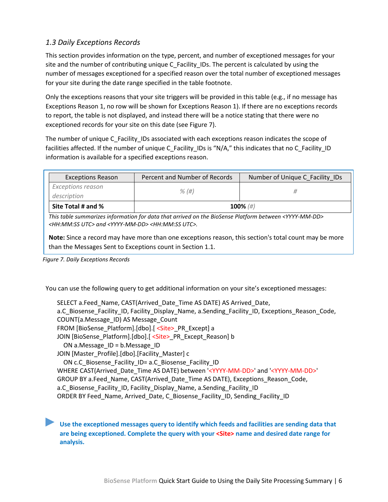## <span id="page-8-0"></span>*1.3 Daily Exceptions Records*

This section provides information on the type, percent, and number of exceptioned messages for your site and the number of contributing unique C\_Facility\_IDs. The percent is calculated by using the number of messages exceptioned for a specified reason over the total number of exceptioned messages for your site during the date range specified in the table footnote.

Only the exceptions reasons that your site triggers will be provided in this table (e.g., if no message has Exceptions Reason 1, no row will be shown for Exceptions Reason 1). If there are no exceptions records to report, the table is not displayed, and instead there will be a notice stating that there were no exceptioned records for your site on this date (see Figure 7).

The number of unique C\_Facility\_IDs associated with each exceptions reason indicates the scope of facilities affected. If the number of unique C\_Facility\_IDs is "N/A," this indicates that no C\_Facility\_ID information is available for a specified exceptions reason.

| <b>Exceptions Reason</b> | Percent and Number of Records<br>Number of Unique C_Facility_IDs |             |
|--------------------------|------------------------------------------------------------------|-------------|
| <b>Exceptions reason</b> | $\%$ (#)                                                         |             |
| description              |                                                                  |             |
| Site Total # and %       |                                                                  | 100% $(\#)$ |

*This table summarizes information for data that arrived on the BioSense Platform between <YYYY-MM-DD> <HH:MM:SS UTC> and <YYYY-MM-DD> <HH:MM:SS UTC>.* 

**Note:** Since a record may have more than one exceptions reason, this section's total count may be more than the Messages Sent to Exceptions count in Section 1.1.

*Figure 7. Daily Exceptions Records*

You can use the following query to get additional information on your site's exceptioned messages:

SELECT a.Feed Name, CAST(Arrived Date Time AS DATE) AS Arrived Date, a.C\_Biosense\_Facility\_ID, Facility\_Display\_Name, a.Sending\_Facility\_ID, Exceptions\_Reason\_Code, COUNT(a.Message\_ID) AS Message\_Count FROM [BioSense\_Platform].[dbo].[ < Site>\_PR\_Except] a JOIN [BioSense\_Platform].[dbo].[ <Site>\_PR\_Except\_Reason] b ON a.Message\_ID = b.Message\_ID JOIN [Master\_Profile].[dbo].[Facility\_Master] c ON c.C\_Biosense\_Facility\_ID= a.C\_Biosense\_Facility\_ID WHERE CAST(Arrived\_Date\_Time AS DATE) between '<YYYY-MM-DD>' and '<YYYY-MM-DD>' GROUP BY a.Feed Name, CAST(Arrived Date Time AS DATE), Exceptions Reason Code, a.C\_Biosense\_Facility\_ID, Facility\_Display\_Name, a.Sending\_Facility\_ID ORDER BY Feed\_Name, Arrived\_Date, C\_Biosense\_Facility\_ID, Sending\_Facility\_ID

►**Use the exceptioned messages query to identify which feeds and facilities are sending data that are being exceptioned. Complete the query with your <Site> name and desired date range for analysis.**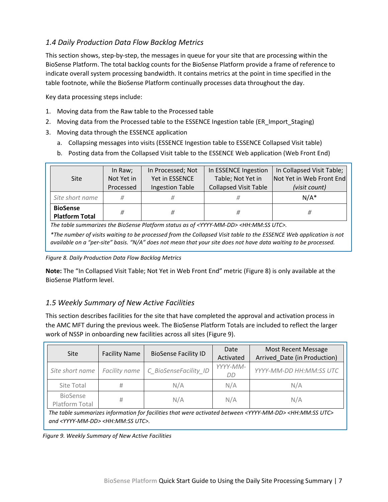## <span id="page-9-0"></span>*1.4 Daily Production Data Flow Backlog Metrics*

This section shows, step-by-step, the messages in queue for your site that are processing within the BioSense Platform. The total backlog counts for the BioSense Platform provide a frame of reference to indicate overall system processing bandwidth. It contains metrics at the point in time specified in the table footnote, while the BioSense Platform continually processes data throughout the day.

Key data processing steps include:

- 1. Moving data from the Raw table to the Processed table
- 2. Moving data from the Processed table to the ESSENCE Ingestion table (ER\_Import\_Staging)
- 3. Moving data through the ESSENCE application
	- a. Collapsing messages into visits (ESSENCE Ingestion table to ESSENCE Collapsed Visit table)
	- b. Posting data from the Collapsed Visit table to the ESSENCE Web application (Web Front End)

| <b>Site</b>                                                                                                                                                                                                                           | In Raw;<br>Not Yet in<br>Processed | In Processed; Not<br>Yet in ESSENCE<br><b>Ingestion Table</b> | In ESSENCE Ingestion<br>Table; Not Yet in<br><b>Collapsed Visit Table</b> | In Collapsed Visit Table;<br>Not Yet in Web Front End<br>(visit count) |
|---------------------------------------------------------------------------------------------------------------------------------------------------------------------------------------------------------------------------------------|------------------------------------|---------------------------------------------------------------|---------------------------------------------------------------------------|------------------------------------------------------------------------|
| Site short name                                                                                                                                                                                                                       | #                                  | #                                                             | #                                                                         | $N/A^*$                                                                |
| <b>BioSense</b><br><b>Platform Total</b>                                                                                                                                                                                              | #                                  | #                                                             | #                                                                         | #                                                                      |
| The table summarizes the BioSense Platform status as of <yyyy-mm-dd> <hh:mm:ss utc="">.</hh:mm:ss></yyyy-mm-dd>                                                                                                                       |                                    |                                                               |                                                                           |                                                                        |
| *The number of visits waiting to be processed from the Collapsed Visit table to the ESSENCE Web application is not<br>available on a "per-site" basis. "N/A" does not mean that your site does not have data waiting to be processed. |                                    |                                                               |                                                                           |                                                                        |

*Figure 8. Daily Production Data Flow Backlog Metrics*

**Note:** The "In Collapsed Visit Table; Not Yet in Web Front End" metric (Figure 8) is only available at the BioSense Platform level.

## <span id="page-9-1"></span>*1.5 Weekly Summary of New Active Facilities*

This section describes facilities for the site that have completed the approval and activation process in the AMC MFT during the previous week. The BioSense Platform Totals are included to reflect the larger work of NSSP in onboarding new facilities across all sites (Figure 9).

| Site                       | <b>Facility Name</b> | <b>BioSense Facility ID</b> | Date<br>Activated | <b>Most Recent Message</b><br>Arrived Date (in Production) |
|----------------------------|----------------------|-----------------------------|-------------------|------------------------------------------------------------|
| Site short name            | Facility name        | C BioSenseFacility ID       | YYYY-MM-<br>DD    | YYYY-MM-DD HH:MM:SS UTC                                    |
| Site Total                 | Ħ                    | N/A                         | N/A               | N/A                                                        |
| BioSense<br>Platform Total | #                    | N/A                         | N/A               | N/A                                                        |

*The table summarizes information for facilities that were activated between <YYYY-MM-DD> <HH:MM:SS UTC> and <YYYY-MM-DD> <HH:MM:SS UTC>.*

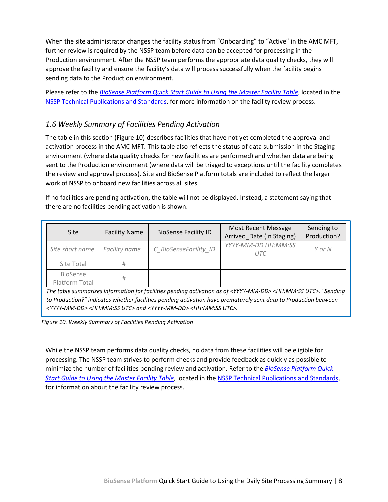When the site administrator changes the facility status from "Onboarding" to "Active" in the AMC MFT, further review is required by the NSSP team before data can be accepted for processing in the Production environment. After the NSSP team performs the appropriate data quality checks, they will approve the facility and ensure the facility's data will process successfully when the facility begins sending data to the Production environment.

Please refer to the *[BioSense Platform Quick Start Guide to Using the Master Facility Table](https://www.cdc.gov/nssp/biosense/docs/BioSense-Platform-Quick-Start-Guide-for-MFT.pdf)*, located in the [NSSP Technical Publications and Standards,](https://www.cdc.gov/nssp/technical-pubs-and-standards.html#QuickStart) for more information on the facility review process.

## <span id="page-10-0"></span>*1.6 Weekly Summary of Facilities Pending Activation*

The table in this section (Figure 10) describes facilities that have not yet completed the approval and activation process in the AMC MFT. This table also reflects the status of data submission in the Staging environment (where data quality checks for new facilities are performed) and whether data are being sent to the Production environment (where data will be triaged to exceptions until the facility completes the review and approval process). Site and BioSense Platform totals are included to reflect the larger work of NSSP to onboard new facilities across all sites.

If no facilities are pending activation, the table will not be displayed. Instead, a statement saying that there are no facilities pending activation is shown.

| Site                       | <b>Facility Name</b> | <b>BioSense Facility ID</b> | Most Recent Message<br>Arrived Date (in Staging) | Sending to<br>Production? |
|----------------------------|----------------------|-----------------------------|--------------------------------------------------|---------------------------|
| Site short name            | Facility name        | C BioSenseFacility ID       | YYYY-MM-DD HH:MM:SS<br>utc                       | Y or N                    |
| Site Total                 | #                    |                             |                                                  |                           |
| BioSense<br>Platform Total | #                    |                             |                                                  |                           |

*The table summarizes information for facilities pending activation as of <YYYY-MM-DD> <HH:MM:SS UTC>. "Sending to Production?" indicates whether facilities pending activation have prematurely sent data to Production between <YYYY-MM-DD> <HH:MM:SS UTC> and <YYYY-MM-DD> <HH:MM:SS UTC>.*

*Figure 10. Weekly Summary of Facilities Pending Activation*

While the NSSP team performs data quality checks, no data from these facilities will be eligible for processing. The NSSP team strives to perform checks and provide feedback as quickly as possible to minimize the number of facilities pending review and activation. Refer to the *[BioSense Platform Quick](https://www.cdc.gov/nssp/biosense/docs/BioSense-Platform-Quick-Start-Guide-for-MFT.pdf)  [Start Guide to Using the Master Facility Table](https://www.cdc.gov/nssp/biosense/docs/BioSense-Platform-Quick-Start-Guide-for-MFT.pdf)*, located in th[e NSSP Technical Publications and Standards,](https://www.cdc.gov/nssp/technical-pubs-and-standards.html#QuickStart) for information about the facility review process.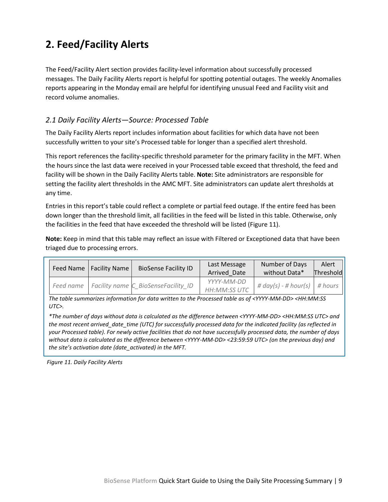# <span id="page-11-0"></span>**2. Feed/Facility Alerts**

The Feed/Facility Alert section provides facility-level information about successfully processed messages. The Daily Facility Alerts report is helpful for spotting potential outages. The weekly Anomalies reports appearing in the Monday email are helpful for identifying unusual Feed and Facility visit and record volume anomalies.

## <span id="page-11-1"></span>*2.1 Daily Facility Alerts—Source: Processed Table*

The Daily Facility Alerts report includes information about facilities for which data have not been successfully written to your site's Processed table for longer than a specified alert threshold.

This report references the facility-specific threshold parameter for the primary facility in the MFT. When the hours since the last data were received in your Processed table exceed that threshold, the feed and facility will be shown in the Daily Facility Alerts table. **Note:** Site administrators are responsible for setting the facility alert thresholds in the AMC MFT. Site administrators can update alert thresholds at any time.

Entries in this report's table could reflect a complete or partial feed outage. If the entire feed has been down longer than the threshold limit, all facilities in the feed will be listed in this table. Otherwise, only the facilities in the feed that have exceeded the threshold will be listed (Figure 11).

**Note:** Keep in mind that this table may reflect an issue with Filtered or Exceptioned data that have been triaged due to processing errors.

| Feed Name   Facility Name | <b>BioSense Facility ID</b>                     | Last Message<br>Arrived Date | Number of Days<br>without Data* | Alert<br>Threshold |
|---------------------------|-------------------------------------------------|------------------------------|---------------------------------|--------------------|
|                           | Feed name   Facility name C BioSenseFacility ID | YYYY-MM-DD<br>HH:MM:SS UTC   | # $day(s)$ - # hour(s) # hours  |                    |

*The table summarizes information for data written to the Processed table as of <YYYY-MM-DD> <HH:MM:SS UTC>.*

*\*The number of days without data is calculated as the difference between <YYYY-MM-DD> <HH:MM:SS UTC> and the most recent arrived\_date\_time (UTC) for successfully processed data for the indicated facility (as reflected in your Processed table). For newly active facilities that do not have successfully processed data, the number of days without data is calculated as the difference between <YYYY-MM-DD> <23:59:59 UTC> (on the previous day) and the site's activation date (date\_activated) in the MFT.*

*Figure 11. Daily Facility Alerts*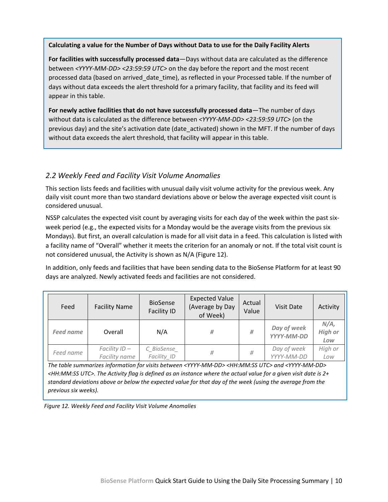#### **Calculating a value for the Number of Days without Data to use for the Daily Facility Alerts**

**For facilities with successfully processed data**—Days without data are calculated as the difference between *<YYYY-MM-DD> <23:59:59 UTC>* on the day before the report and the most recent processed data (based on arrived\_date\_time), as reflected in your Processed table. If the number of days without data exceeds the alert threshold for a primary facility, that facility and its feed will appear in this table.

**For newly active facilities that do not have successfully processed data**—The number of days without data is calculated as the difference between *<YYYY-MM-DD> <23:59:59 UTC>* (on the previous day) and the site's activation date (date\_activated) shown in the MFT. If the number of days without data exceeds the alert threshold, that facility will appear in this table.

### <span id="page-12-0"></span>*2.2 Weekly Feed and Facility Visit Volume Anomalies*

This section lists feeds and facilities with unusual daily visit volume activity for the previous week. Any daily visit count more than two standard deviations above or below the average expected visit count is considered unusual.

NSSP calculates the expected visit count by averaging visits for each day of the week within the past sixweek period (e.g., the expected visits for a Monday would be the average visits from the previous six Mondays). But first, an overall calculation is made for all visit data in a feed. This calculation is listed with a facility name of "Overall" whether it meets the criterion for an anomaly or not. If the total visit count is not considered unusual, the Activity is shown as N/A (Figure 12).

In addition, only feeds and facilities that have been sending data to the BioSense Platform for at least 90 days are analyzed. Newly activated feeds and facilities are not considered.

| Feed             | <b>Facility Name</b>          | <b>BioSense</b><br><b>Facility ID</b> | <b>Expected Value</b><br>(Average by Day<br>of Week) | Actual<br>Value | <b>Visit Date</b>         | Activity                         |
|------------------|-------------------------------|---------------------------------------|------------------------------------------------------|-----------------|---------------------------|----------------------------------|
| <b>Feed name</b> | Overall                       | N/A                                   | #                                                    | #               | Day of week<br>YYYY-MM-DD | $N/A$ ,<br><b>High or</b><br>Low |
| Feed name        | Facility ID-<br>Facility name | C BioSense<br>Facility ID             | #                                                    | #               | Day of week<br>YYYY-MM-DD | High or<br>Low                   |

*The table summarizes information for visits between <YYYY-MM-DD> <HH:MM:SS UTC> and <YYYY-MM-DD> <HH:MM:SS UTC>. The Activity flag is defined as an instance where the actual value for a given visit date is 2+ standard deviations above or below the expected value for that day of the week (using the average from the previous six weeks).* 

*Figure 12. Weekly Feed and Facility Visit Volume Anomalies*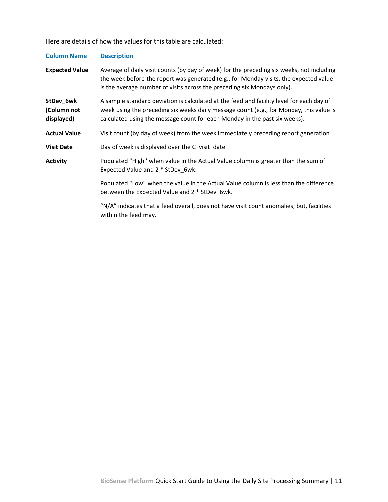Here are details of how the values for this table are calculated:

| <b>Column Name</b>                     | <b>Description</b>                                                                                                                                                                                                                                                |  |  |  |
|----------------------------------------|-------------------------------------------------------------------------------------------------------------------------------------------------------------------------------------------------------------------------------------------------------------------|--|--|--|
| <b>Expected Value</b>                  | Average of daily visit counts (by day of week) for the preceding six weeks, not including<br>the week before the report was generated (e.g., for Monday visits, the expected value<br>is the average number of visits across the preceding six Mondays only).     |  |  |  |
| StDev_6wk<br>(Column not<br>displayed) | A sample standard deviation is calculated at the feed and facility level for each day of<br>week using the preceding six weeks daily message count (e.g., for Monday, this value is<br>calculated using the message count for each Monday in the past six weeks). |  |  |  |
| <b>Actual Value</b>                    | Visit count (by day of week) from the week immediately preceding report generation                                                                                                                                                                                |  |  |  |
| <b>Visit Date</b>                      | Day of week is displayed over the C visit date                                                                                                                                                                                                                    |  |  |  |
| <b>Activity</b>                        | Populated "High" when value in the Actual Value column is greater than the sum of<br>Expected Value and 2 * StDev 6wk.                                                                                                                                            |  |  |  |
|                                        | Populated "Low" when the value in the Actual Value column is less than the difference<br>between the Expected Value and 2 * StDev_6wk.                                                                                                                            |  |  |  |
|                                        | "N/A" indicates that a feed overall, does not have visit count anomalies; but, facilities<br>within the feed may.                                                                                                                                                 |  |  |  |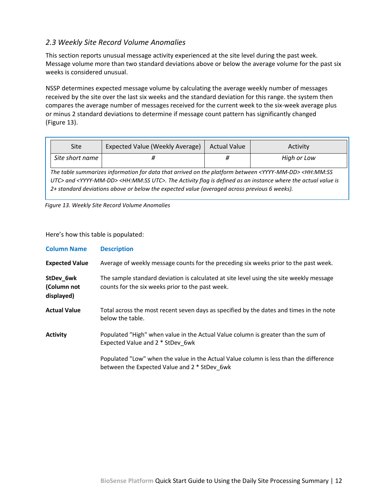## <span id="page-14-0"></span>*2.3 Weekly Site Record Volume Anomalies*

This section reports unusual message activity experienced at the site level during the past week. Message volume more than two standard deviations above or below the average volume for the past six weeks is considered unusual.

NSSP determines expected message volume by calculating the average weekly number of messages received by the site over the last six weeks and the standard deviation for this range. the system then compares the average number of messages received for the current week to the six-week average plus or minus 2 standard deviations to determine if message count pattern has significantly changed (Figure 13).

| Site                                                                                                                                   | Expected Value (Weekly Average) | <b>Actual Value</b> | Activity    |
|----------------------------------------------------------------------------------------------------------------------------------------|---------------------------------|---------------------|-------------|
| Site short name                                                                                                                        |                                 |                     | High or Low |
| The table summarizes information for data that arrived on the platform between <yyyy-mm-dd> <hh:mm:ss< td=""></hh:mm:ss<></yyyy-mm-dd> |                                 |                     |             |

*UTC> and <YYYY-MM-DD> <HH:MM:SS UTC>. The Activity flag is defined as an instance where the actual value is 2+ standard deviations above or below the expected value (averaged across previous 6 weeks).*

*Figure 13. Weekly Site Record Volume Anomalies*

Here's how this table is populated:

| <b>Column Name</b>                     | <b>Description</b>                                                                                                                          |
|----------------------------------------|---------------------------------------------------------------------------------------------------------------------------------------------|
| <b>Expected Value</b>                  | Average of weekly message counts for the preceding six weeks prior to the past week.                                                        |
| StDev_6wk<br>(Column not<br>displayed) | The sample standard deviation is calculated at site level using the site weekly message<br>counts for the six weeks prior to the past week. |
| <b>Actual Value</b>                    | Total across the most recent seven days as specified by the dates and times in the note<br>below the table.                                 |
| <b>Activity</b>                        | Populated "High" when value in the Actual Value column is greater than the sum of<br>Expected Value and 2 * StDev 6wk                       |
|                                        | Populated "Low" when the value in the Actual Value column is less than the difference<br>between the Expected Value and 2 * StDev 6wk       |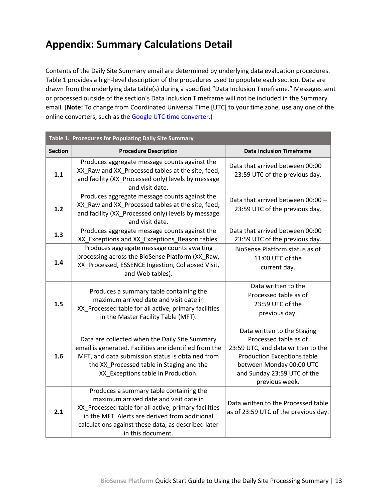# <span id="page-15-0"></span>**Appendix: Summary Calculations Detail**

Contents of the Daily Site Summary email are determined by underlying data evaluation procedures. Table 1 provides a high-level description of the procedures used to populate each section. Data are drawn from the underlying data table(s) during a specified "Data Inclusion Timeframe." Messages sent or processed outside of the section's Data Inclusion Timeframe will not be included in the Summary email. (**Note:** To change from Coordinated Universal Time [UTC] to your time zone, use any one of the online converters, such as the [Google UTC time converter.](https://www.google.com/search?q=UTC+Time+Converter))

| Table 1. Procedures for Populating Daily Site Summary |                                                                                                                                                                                                                                                                          |                                                                                                                                                                                                               |  |
|-------------------------------------------------------|--------------------------------------------------------------------------------------------------------------------------------------------------------------------------------------------------------------------------------------------------------------------------|---------------------------------------------------------------------------------------------------------------------------------------------------------------------------------------------------------------|--|
| <b>Section</b>                                        | <b>Procedure Description</b>                                                                                                                                                                                                                                             | <b>Data Inclusion Timeframe</b>                                                                                                                                                                               |  |
| 1.1                                                   | Produces aggregate message counts against the<br>XX_Raw and XX_Processed tables at the site, feed,<br>and facility (XX_Processed only) levels by message<br>and visit date.                                                                                              | Data that arrived between 00:00 -<br>23:59 UTC of the previous day.                                                                                                                                           |  |
| 1.2                                                   | Produces aggregate message counts against the<br>XX Raw and XX Processed tables at the site, feed,<br>and facility (XX_Processed only) levels by message<br>and visit date.                                                                                              | Data that arrived between 00:00 -<br>23:59 UTC of the previous day.                                                                                                                                           |  |
| 1.3                                                   | Produces aggregate message counts against the<br>XX_Exceptions and XX_Exceptions_Reason tables.                                                                                                                                                                          | Data that arrived between 00:00 -<br>23:59 UTC of the previous day.                                                                                                                                           |  |
| 1.4                                                   | Produces aggregate message counts awaiting<br>processing across the BioSense Platform (XX_Raw,<br>XX_Processed, ESSENCE Ingestion, Collapsed Visit,<br>and Web tables).                                                                                                  | BioSense Platform status as of<br>11:00 UTC of the<br>current day.                                                                                                                                            |  |
| 1.5                                                   | Produces a summary table containing the<br>maximum arrived date and visit date in<br>XX_Processed table for all active, primary facilities<br>in the Master Facility Table (MFT).                                                                                        | Data written to the<br>Processed table as of<br>23:59 UTC of the<br>previous day.                                                                                                                             |  |
| 1.6                                                   | Data are collected when the Daily Site Summary<br>email is generated. Facilities are identified from the<br>MFT, and data submission status is obtained from<br>the XX_Processed table in Staging and the<br>XX_Exceptions table in Production.                          | Data written to the Staging<br>Processed table as of<br>23:59 UTC, and data written to the<br><b>Production Exceptions table</b><br>between Monday 00:00 UTC<br>and Sunday 23:59 UTC of the<br>previous week. |  |
| 2.1                                                   | Produces a summary table containing the<br>maximum arrived date and visit date in<br>XX_Processed table for all active, primary facilities<br>in the MFT. Alerts are derived from additional<br>calculations against these data, as described later<br>in this document. | Data written to the Processed table<br>as of 23:59 UTC of the previous day.                                                                                                                                   |  |